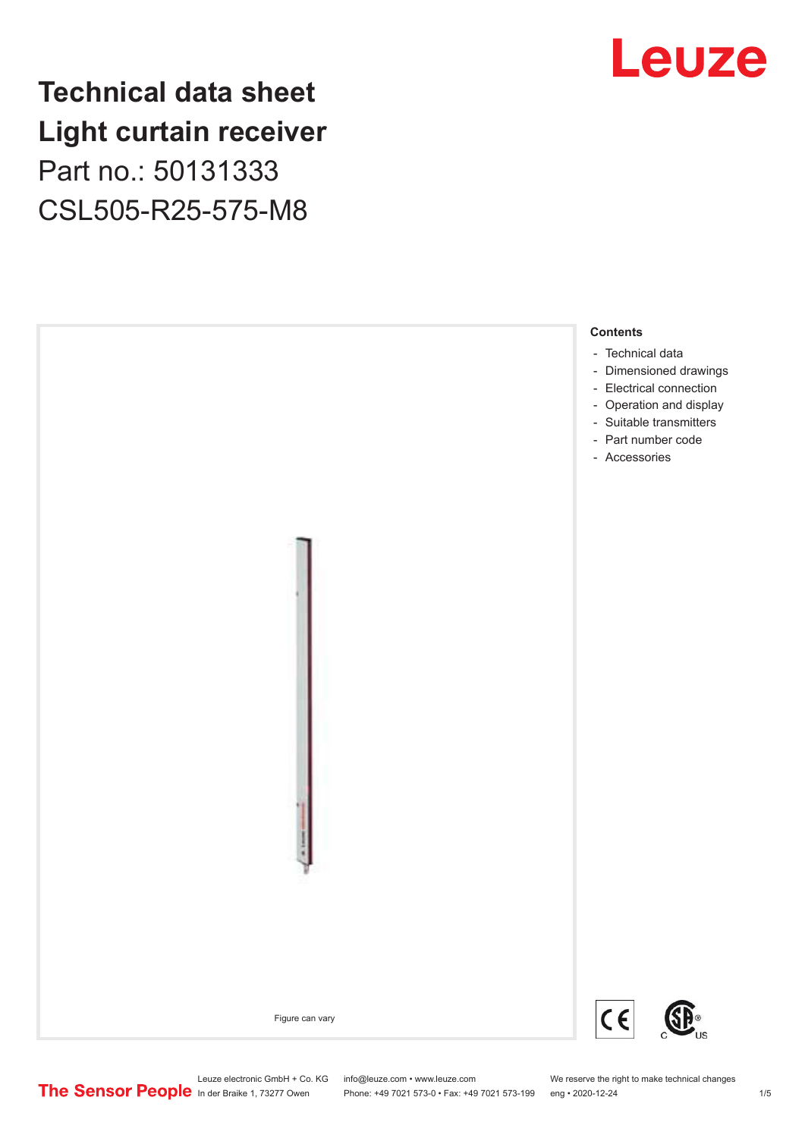### **Technical data sheet Light curtain receiver** Part no.: 50131333 CSL505-R25-575-M8





Phone: +49 7021 573-0 • Fax: +49 7021 573-199 eng • 2020-12-24 1 2020-12-24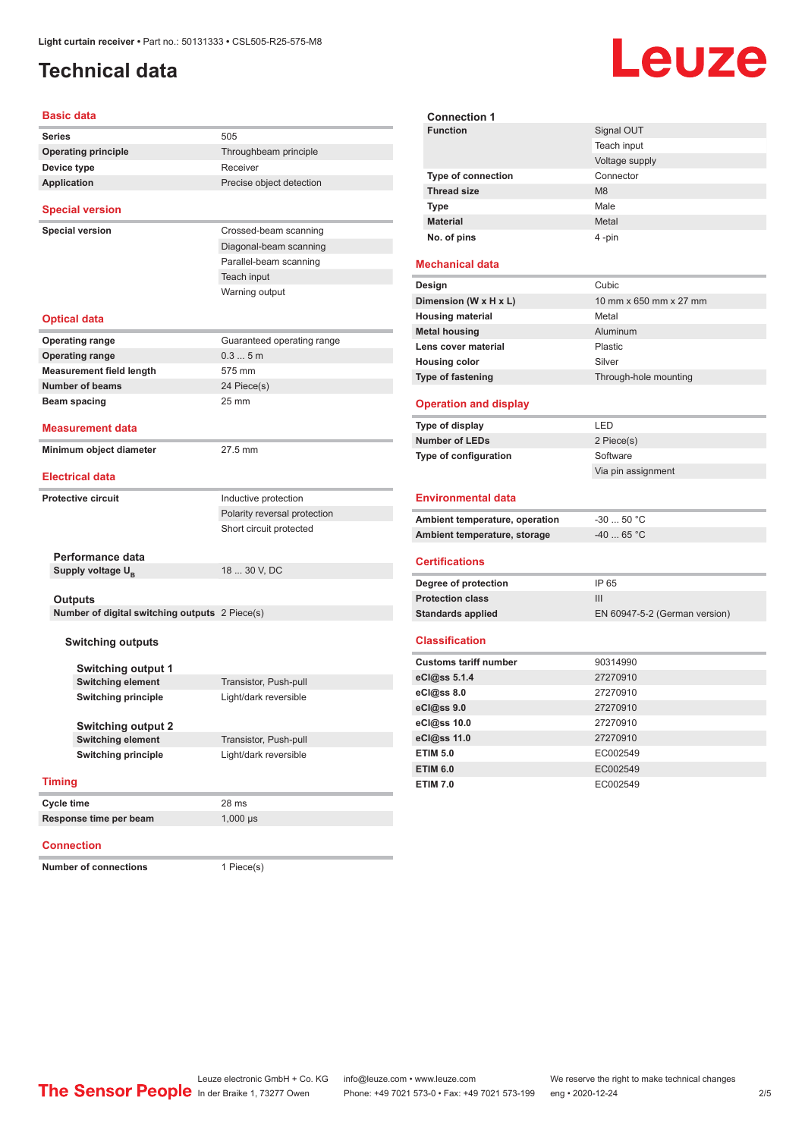### <span id="page-1-0"></span>**Technical data**

# Leuze

| <b>Basic data</b>                              |                              |
|------------------------------------------------|------------------------------|
|                                                |                              |
| <b>Series</b>                                  | 505                          |
| <b>Operating principle</b>                     | Throughbeam principle        |
| Device type                                    | Receiver                     |
| Application                                    | Precise object detection     |
| <b>Special version</b>                         |                              |
| <b>Special version</b>                         | Crossed-beam scanning        |
|                                                | Diagonal-beam scanning       |
|                                                | Parallel-beam scanning       |
|                                                | Teach input                  |
|                                                | Warning output               |
|                                                |                              |
| <b>Optical data</b>                            |                              |
| <b>Operating range</b>                         | Guaranteed operating range   |
| <b>Operating range</b>                         | 0.35m                        |
| <b>Measurement field length</b>                | 575 mm                       |
| <b>Number of beams</b>                         | 24 Piece(s)                  |
| Beam spacing                                   | 25 mm                        |
| <b>Measurement data</b>                        |                              |
| Minimum object diameter                        | 27.5 mm                      |
| <b>Electrical data</b>                         |                              |
| <b>Protective circuit</b>                      | Inductive protection         |
|                                                | Polarity reversal protection |
|                                                | Short circuit protected      |
|                                                |                              |
| Performance data                               |                              |
| Supply voltage U <sub>B</sub>                  | 18  30 V, DC                 |
|                                                |                              |
| Outputs                                        |                              |
| Number of digital switching outputs 2 Piece(s) |                              |
| <b>Switching outputs</b>                       |                              |
| Switching output 1                             |                              |
| <b>Switching element</b>                       | Transistor, Push-pull        |
| <b>Switching principle</b>                     | Light/dark reversible        |
|                                                |                              |
| <b>Switching output 2</b>                      |                              |
| <b>Switching element</b>                       | Transistor, Push-pull        |
| <b>Switching principle</b>                     | Light/dark reversible        |
|                                                |                              |
| <b>Timing</b>                                  |                              |
| Cycle time                                     | 28 ms                        |
| Response time per beam                         | $1,000 \,\mu s$              |

#### **Connection**

**Number of connections** 1 Piece(s)

| <b>Function</b>                | Signal OUT                    |
|--------------------------------|-------------------------------|
|                                | Teach input                   |
|                                | Voltage supply                |
| <b>Type of connection</b>      | Connector                     |
| <b>Thread size</b>             | M <sub>8</sub>                |
| <b>Type</b>                    | Male                          |
| <b>Material</b>                | Metal                         |
| No. of pins                    | 4 -pin                        |
| <b>Mechanical data</b>         |                               |
| Design                         | Cubic                         |
| Dimension (W x H x L)          | 10 mm x 650 mm x 27 mm        |
| <b>Housing material</b>        | Metal                         |
| <b>Metal housing</b>           | Aluminum                      |
| Lens cover material            | Plastic                       |
| <b>Housing color</b>           | Silver                        |
| <b>Type of fastening</b>       | Through-hole mounting         |
| <b>Operation and display</b>   |                               |
| Type of display                | LED                           |
| <b>Number of LEDs</b>          | 2 Piece(s)                    |
| Type of configuration          | Software                      |
|                                | Via pin assignment            |
| <b>Environmental data</b>      |                               |
| Ambient temperature, operation | $-3050$ °C                    |
| Ambient temperature, storage   | $-40$ 65 °C                   |
| <b>Certifications</b>          |                               |
| Degree of protection           | IP 65                         |
| <b>Protection class</b>        | Ш                             |
| <b>Standards applied</b>       | EN 60947-5-2 (German version) |
| <b>Classification</b>          |                               |
| <b>Customs tariff number</b>   | 90314990                      |
| eCl@ss 5.1.4                   | 27270910                      |
| eCl@ss 8.0                     | 27270910                      |
| eCl@ss 9.0                     | 27270910                      |
| eCl@ss 10.0                    | 27270910                      |
| eCl@ss 11.0                    | 27270910                      |
| <b>ETIM 5.0</b>                | EC002549                      |
| <b>ETIM 6.0</b>                | EC002549                      |
| <b>ETIM 7.0</b>                | EC002549                      |

**Connection 1**

Leuze electronic GmbH + Co. KG info@leuze.com • www.leuze.com We reserve the right to make technical changes<br>
The Sensor People in der Braike 1, 73277 Owen Phone: +49 7021 573-0 • Fax: +49 7021 573-199 eng • 2020-12-24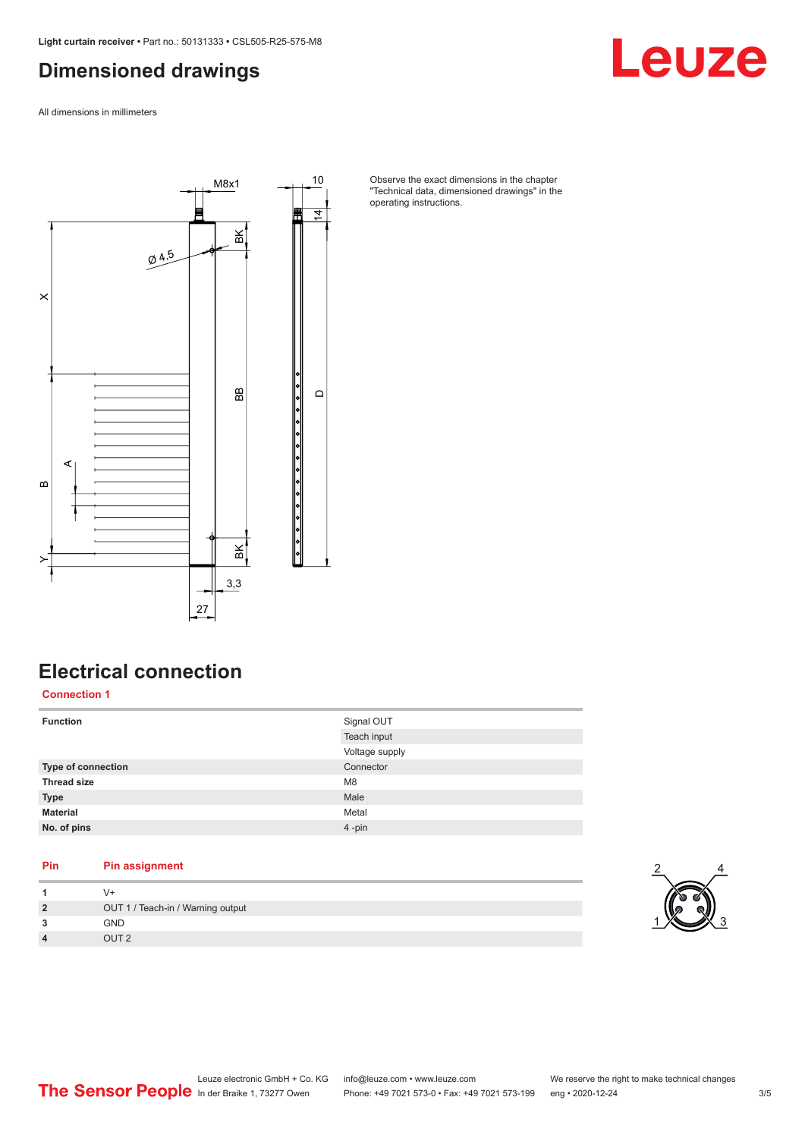### <span id="page-2-0"></span>**Dimensioned drawings**

All dimensions in millimeters



Observe the exact dimensions in the chapter "Technical data, dimensioned drawings" in the operating instructions.

### **Electrical connection**

**Connection 1**

| <b>Function</b>    | Signal OUT     |
|--------------------|----------------|
|                    | Teach input    |
|                    | Voltage supply |
| Type of connection | Connector      |
| <b>Thread size</b> | M <sub>8</sub> |
| <b>Type</b>        | Male           |
| <b>Material</b>    | Metal          |
| No. of pins        | $4 - pin$      |
|                    |                |

#### **Pin Pin assignment**

| V+                                |
|-----------------------------------|
| OUT 1 / Teach-in / Warning output |
| <b>GND</b>                        |
| OUT <sub>2</sub>                  |



Leuze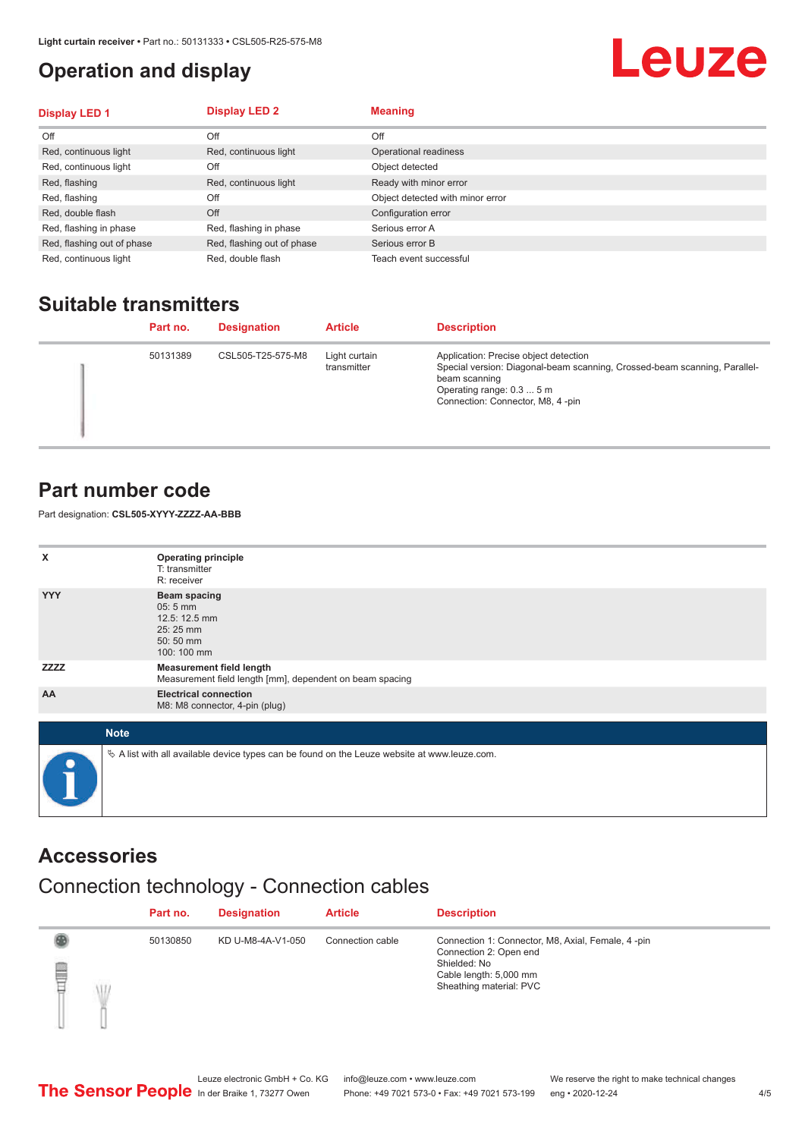### <span id="page-3-0"></span>**Operation and display**

# Leuze

| <b>Display LED 1</b>       | <b>Display LED 2</b>       | <b>Meaning</b>                   |
|----------------------------|----------------------------|----------------------------------|
| Off                        | Off                        | Off                              |
| Red, continuous light      | Red, continuous light      | Operational readiness            |
| Red, continuous light      | Off                        | Object detected                  |
| Red, flashing              | Red, continuous light      | Ready with minor error           |
| Red, flashing              | Off                        | Object detected with minor error |
| Red, double flash          | Off                        | Configuration error              |
| Red, flashing in phase     | Red, flashing in phase     | Serious error A                  |
| Red, flashing out of phase | Red, flashing out of phase | Serious error B                  |
| Red, continuous light      | Red, double flash          | Teach event successful           |

### **Suitable transmitters**

| Part no. | <b>Designation</b> | <b>Article</b>               | <b>Description</b>                                                                                                                                                                                   |
|----------|--------------------|------------------------------|------------------------------------------------------------------------------------------------------------------------------------------------------------------------------------------------------|
| 50131389 | CSL505-T25-575-M8  | Light curtain<br>transmitter | Application: Precise object detection<br>Special version: Diagonal-beam scanning, Crossed-beam scanning, Parallel-<br>beam scanning<br>Operating range: 0.3  5 m<br>Connection: Connector, M8, 4-pin |

#### **Part number code**

Part designation: **CSL505-XYYY-ZZZZ-AA-BBB**

| X            | <b>Operating principle</b><br>T: transmitter<br>R: receiver                                 |
|--------------|---------------------------------------------------------------------------------------------|
| <b>YYY</b>   | <b>Beam spacing</b><br>$05:5$ mm<br>12.5: 12.5 mm<br>25:25 mm<br>50:50 mm<br>100: 100 mm    |
| <b>ZZZZZ</b> | <b>Measurement field length</b><br>Measurement field length [mm], dependent on beam spacing |
| AA           | <b>Electrical connection</b><br>M8: M8 connector, 4-pin (plug)                              |
|              | <b>Note</b>                                                                                 |
|              | A list with all available device types can be found on the Leuze website at www.leuze.com.  |

### **Accessories**

### Connection technology - Connection cables

|        | Part no. | <b>Designation</b> | <b>Article</b>   | <b>Description</b>                                                                                                                               |
|--------|----------|--------------------|------------------|--------------------------------------------------------------------------------------------------------------------------------------------------|
| §<br>Ŵ | 50130850 | KD U-M8-4A-V1-050  | Connection cable | Connection 1: Connector, M8, Axial, Female, 4-pin<br>Connection 2: Open end<br>Shielded: No<br>Cable length: 5,000 mm<br>Sheathing material: PVC |